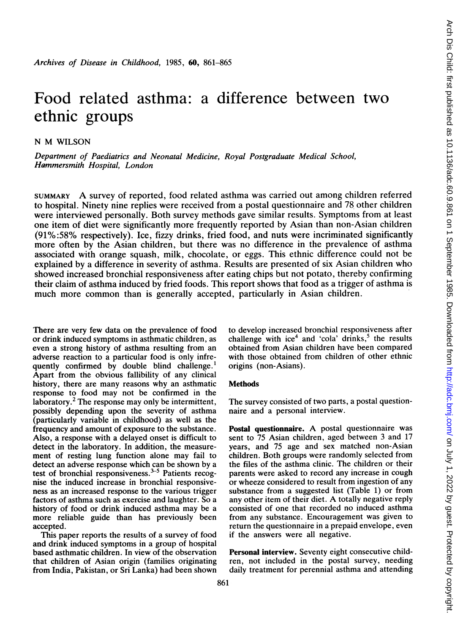# Food related asthma: a difference between two ethnic groups

N M WILSON

Department of Paediatrics and Neonatal Medicine, Royal Postgraduate Medical School, Hammersmith Hospital, London

SUMMARY A survey of reported, food related asthma was carried out among children referred to hospital. Ninety nine replies were received from a postal questionnaire and 78 other children were interviewed personally. Both survey methods gave similar results. Symptoms from at least one item of diet were significantly more frequently reported by Asian than non-Asian children (91%:58% respectively). Ice, fizzy drinks, fried food, and nuts were incriminated significantly more often by the Asian children, but there was no difference in the prevalence of asthma associated with orange squash, milk, chocolate, or eggs. This ethnic difference could not be explained by a difference in severity of asthma. Results are presented of six Asian children who showed increased bronchial responsiveness after eating chips but not potato, thereby confirming their claim of asthma induced by fried foods. This report shows that food as a trigger of asthma is much more common than is generally accepted, particularly in Asian children.

There are very few data on the prevalence of food or drink induced symptoms in asthmatic children, as even a strong history of asthma resulting from an adverse reaction to a particular food is only infrequently confirmed by double blind challenge.<sup>1</sup> Apart from the obvious fallibility of any clinical history, there are many reasons why an asthmatic response to food may not be confirmed in the laboratory.<sup>2</sup> The response may only be intermittent, possibly depending upon the severity of asthma (particularly variable in childhood) as well as the frequency and amount of exposure to the substance. Also, a response with a delayed onset is difficult to detect in the laboratory. In addition, the measurement of resting lung function alone may fail to detect an adverse response which can be shown by a test of bronchial responsiveness. $3-5$  Patients recognise the induced increase in bronchial responsiveness as an increased response to the various trigger factors of asthma such as exercise and laughter. So a history of food or drink induced asthma may be a more reliable guide than has previously been accepted.

This paper reports the results of a survey of food and drink induced symptoms in a group of hospital based asthmatic children. In view of the observation that children of Asian origin (families originating from India, Pakistan, or Sri Lanka) had been shown to develop increased bronchial responsiveness after challenge with ice<sup>4</sup> and 'cola' drinks,<sup>5</sup> the results obtained from Asian children have been compared with those obtained from children of other ethnic origins (non-Asians).

## **Methods**

The survey consisted of two parts, a postal questionnaire and a personal interview.

Postal questionnaire. A postal questionnaire was sent to 75 Asian children, aged between 3 and 17 years, and 75 age and sex matched non-Asian children. Both groups were randomly selected from the files of the asthma clinic. The children or their parents were asked to record any increase in cough or wheeze considered to result from ingestion of any substance from a suggested list (Table 1) or from any other item of their diet. A totally negative reply consisted of one that recorded no induced asthma from any substance. Encouragement was given to return the questionnaire in a prepaid envelope, even if the answers were all negative.

Personal interview. Seventy eight consecutive children, not included in the postal survey, needing daily treatment for perennial asthma and attending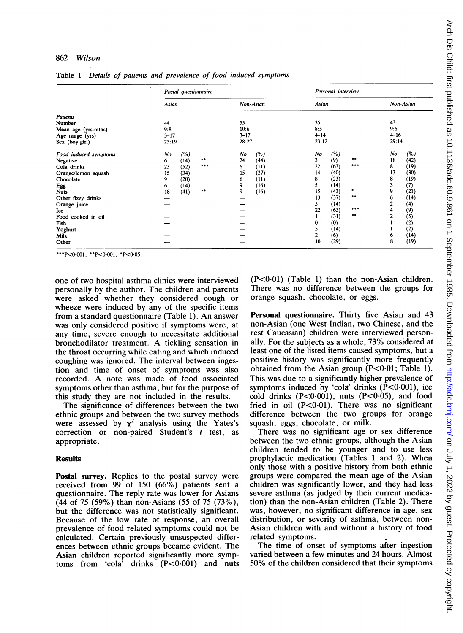### 862 Wilson

| Postal questionnaire |                                 |                                                                            |    |                       | Personal interview                                                             |                                             |                                                                                                                                 |    |                                                                                         |
|----------------------|---------------------------------|----------------------------------------------------------------------------|----|-----------------------|--------------------------------------------------------------------------------|---------------------------------------------|---------------------------------------------------------------------------------------------------------------------------------|----|-----------------------------------------------------------------------------------------|
|                      |                                 |                                                                            |    |                       |                                                                                |                                             |                                                                                                                                 |    | Non-Asian                                                                               |
|                      |                                 |                                                                            |    |                       |                                                                                |                                             |                                                                                                                                 |    |                                                                                         |
|                      |                                 |                                                                            |    |                       |                                                                                |                                             |                                                                                                                                 |    |                                                                                         |
|                      |                                 |                                                                            |    |                       |                                                                                |                                             |                                                                                                                                 |    |                                                                                         |
|                      |                                 |                                                                            |    |                       |                                                                                |                                             |                                                                                                                                 |    |                                                                                         |
|                      |                                 |                                                                            |    |                       |                                                                                |                                             |                                                                                                                                 |    |                                                                                         |
| No                   | (%)                             |                                                                            | No | (%)                   | No                                                                             | (%)                                         |                                                                                                                                 | No | (%)                                                                                     |
| 6                    |                                 | $***$                                                                      | 24 |                       | 3                                                                              |                                             | $* *$                                                                                                                           | 18 | (42)                                                                                    |
| 23                   |                                 | ***                                                                        | 6  |                       | 22                                                                             |                                             | ***                                                                                                                             | 8  | (19)                                                                                    |
|                      |                                 |                                                                            |    |                       | 14                                                                             |                                             |                                                                                                                                 | 13 | (30)                                                                                    |
|                      |                                 |                                                                            |    |                       | 8                                                                              |                                             |                                                                                                                                 |    | (19)                                                                                    |
|                      |                                 |                                                                            | 9  |                       | 5.                                                                             |                                             |                                                                                                                                 | 3  | (7)                                                                                     |
|                      |                                 | $\bullet\bullet$                                                           | 9  |                       | 15                                                                             |                                             | ۰                                                                                                                               | 9  | (21)                                                                                    |
|                      |                                 |                                                                            |    |                       |                                                                                |                                             |                                                                                                                                 | 6  | (14)                                                                                    |
|                      |                                 |                                                                            |    |                       |                                                                                |                                             |                                                                                                                                 |    | (4)                                                                                     |
|                      |                                 |                                                                            |    |                       |                                                                                |                                             | ***                                                                                                                             |    | (9)                                                                                     |
|                      |                                 |                                                                            |    |                       |                                                                                |                                             | $***$                                                                                                                           |    | (5)                                                                                     |
|                      |                                 |                                                                            |    |                       | 0                                                                              |                                             |                                                                                                                                 |    | (2)                                                                                     |
|                      |                                 |                                                                            |    |                       |                                                                                |                                             |                                                                                                                                 |    | (2)                                                                                     |
|                      |                                 |                                                                            |    |                       |                                                                                |                                             |                                                                                                                                 |    | (14)                                                                                    |
|                      |                                 |                                                                            |    |                       |                                                                                |                                             |                                                                                                                                 |    | (19)                                                                                    |
|                      | 44<br>9:8<br>15<br>9<br>6<br>18 | Asian<br>$3 - 17$<br>25:19<br>(14)<br>(52)<br>(34)<br>(20)<br>(14)<br>(41) |    | 55<br>10:6<br>15<br>6 | Non-Asian<br>$3 - 17$<br>28:27<br>(44)<br>(11)<br>(27)<br>(11)<br>(16)<br>(16) | 35<br>8:5<br>13<br>5.<br>22<br>11<br>5<br>2 | Asian<br>$4 - 14$<br>23:12<br>(9)<br>(63)<br>(40)<br>(23)<br>(14)<br>(43)<br>(37)<br>(14)<br>(63)<br>(31)<br>(0)<br>(14)<br>(6) |    | 43<br>9:6<br>$4 - 16$<br>29:14<br>8<br>2<br>4<br>$\overline{2}$<br>6<br>8<br>(29)<br>10 |

Table <sup>1</sup> Details of patients and prevalence of food induced symptoms

\*\*\*P<0.001; \*\*P<0.001; \*P<0.05.

one of two hospital asthma clinics were interviewed personally by the author. The children and parents were asked whether they considered cough or wheeze were induced by any of the specific items from <sup>a</sup> standard questionnaire (Table 1). An answer was only considered positive if symptoms were, at any time, severe enough to necessitate additional bronchodilator treatment. A tickling sensation in the throat occurring while eating and which induced coughing was ignored. The interval between ingestion and time of onset of symptoms was also recorded. A note was made of food associated symptoms other than asthma, but for the purpose of this study they are not included in the results.

The significance of differences between the two ethnic groups and between the two survey methods were assessed by  $\chi^2$  analysis using the Yates's correction or non-paired Student's <sup>t</sup> test, as appropriate.

#### **Results**

Postal survey. Replies to the postal survey were received from 99 of 150 (66%) patients sent a questionnaire. The reply rate was lower for Asians (44 of 75 (59%) than non-Asians (55 of 75 (73%), but the difference was not statistically significant. Because of the low rate of response, an overall prevalence of food related symptoms could not be calculated. Certain previously unsuspected differences between ethnic groups became evident. The Asian children reported significantly more symptoms from 'cola' drinks  $(P<0.001)$  and nuts  $(P<0.01)$  (Table 1) than the non-Asian children. There was no difference between the groups for orange squash, chocolate, or eggs.

Personal questionnaire. Thirty five Asian and 43 non-Asian (one West Indian, two Chinese, and the rest Caucasian) children were interviewed personally. For the subjects as <sup>a</sup> whole, 73% considered at least one of the listed items caused symptoms, but a positive history was significantly more frequently obtained from the Asian group  $(P<0.01$ ; Table 1). This was due to a significantly higher prevalence of symptoms induced by 'cola' drinks  $(\dot{P} < 0.001)$ , ice cold drinks  $(P<0.001)$ , nuts  $(P<0.05)$ , and food fried in oil  $(P<0.01)$ . There was no significant difference between the two groups for orange squash, eggs, chocolate, or milk.

There was no significant age or sex difference between the two ethnic groups, although the Asian children tended to be younger and to use less prophylactic medication (Tables <sup>1</sup> and 2). When only those with a positive history from both ethnic groups were compared the mean age of the Asian children was significantly lower, and they had less severe asthma (as judged by their current medication) than the non-Asian children (Table 2). There was, however, no significant difference in age, sex distribution, or severity of asthma, between non-Asian children with and without a history of food related symptoms.

The time of onset of symptoms after ingestion varied between a few minutes and 24 hours. Almost 50% of the children considered that their symptoms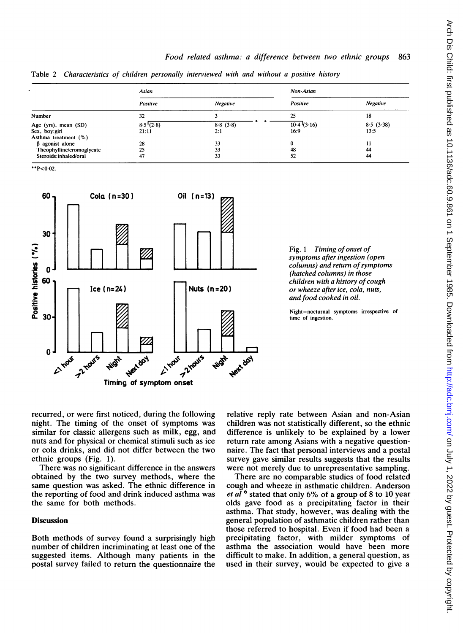Table 2 Characteristics of children personally interviewed with and without a positive history

|                           | Asian    |          | Non-Asian  |           |  |
|---------------------------|----------|----------|------------|-----------|--|
|                           | Positive | Negative | Positive   | Negative  |  |
| Number                    | 32       |          | 25         | 18        |  |
| Age (yrs), mean (SD)      | 8.5(2.8) | 8.8(3.8) | 10.4(3.16) | 8.5(3.38) |  |
| Sex, boy:girl             | 21:11    | 2:1      | 16:9       | 13:5      |  |
| Asthma treatment (%)      |          |          |            |           |  |
| $\beta$ agonist alone     | 28       | 33       | 0          | 11        |  |
| Theophylline/cromoglycate | 25       | 33       | 48         | 44        |  |
| Steroids:inhaled/oral     | 47       | 33       | 52         | 44        |  |

\*\*P<0-02.



Fig. 1 Timing of onset of symptoms after ingestion (open columns) and return of symptoms (hatched columns) in those children with a history of cough or wheeze after ice, cola, nuts, and food cooked in oil.

Night=nocturnal symptoms irrespective of time of ingestion.

recurred, or were first noticed, during the following night. The timing of the onset of symptoms was similar for classic allergens such as milk, egg, and nuts and for physical or chemical stimuli such as ice or cola drinks, and did not differ between the two ethnic groups (Fig. 1).

There was no significant difference in the answers obtained by the two survey methods, where the same question was asked. The ethnic difference in the reporting of food and drink induced asthma was the same for both methods.

## **Discussion**

Both methods of survey found a surprisingly high number of children incriminating at least one of the suggested items. Although many patients in the postal survey failed to return the questionnaire the

relative reply rate between Asian and non-Asian children was not statistically different, so the ethnic difference is unlikely to be explained by a lower return rate among Asians with a negative questionnaire. The fact that personal interviews and a postal survey gave similar results suggests that the results were not merely due to unrepresentative sampling.

There are no comparable studies of food related cough and wheeze in asthmatic children. Anderson et al  $6$  stated that only 6% of a group of 8 to 10 year olds gave food as a precipitating factor in their asthma. That study, however, was dealing with the general population of asthmatic children rather than those referred to hospital. Even if food had been a precipitating factor, with milder symptoms of asthma the association would have been more difficult to make. In addition, a general question, as used in their survey, would be expected to give a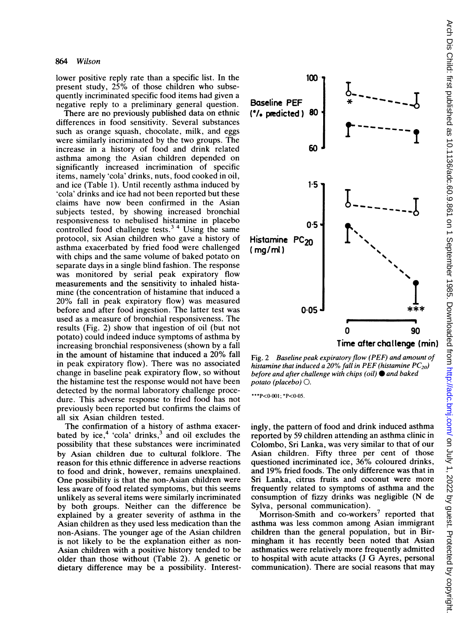lower positive reply rate than a specific list. In the present study, 25% of those children who subsequently incriminated specific food items had given a negative reply to a preliminary general question.

There are no previously published data on ethnic differences in food sensitivity. Several substances such as orange squash, chocolate, milk, and eggs were similarly incriminated by the two groups. The increase in a history of food and drink related asthma among the Asian children depended on significantly increased incrimination of specific items, namely 'cola' drinks, nuts, food cooked in oil, and ice (Table 1). Until recently asthma induced by 'cola' drinks and ice had not been reported but these claims have now been confirmed in the Asian subjects tested, by showing increased bronchial responsiveness to nebulised histamine in placebo controlled food challenge tests. $3<sup>4</sup>$  Using the same protocol, six Asian children who gave a history of asthma exacerbated by fried food were challenged with chips and the same volume of baked potato on separate days in a single blind fashion. The response was monitored by serial peak expiratory flow measurements and the sensitivity to inhaled histamine (the concentration of histamine that induced a 20% fall in peak expiratory flow) was measured before and after food ingestion. The latter test was used as a measure of bronchial responsiveness. The results (Fig. 2) show that ingestion of oil (but not potato) could indeed induce symptoms of asthma by increasing bronchial responsiveness (shown by a fall in the amount of histamine that induced a 20% fall in peak expiratory flow). There was no associated change in baseline peak expiratory flow, so without the histamine test the response would not have been detected by the normal laboratory challenge procedure. This adverse response to fried food has not previously been reported but confirms the claims of all six Asian children tested.

The confirmation of a history of asthma exacerbated by ice,<sup>4</sup> 'cola' drinks, $3$  and oil excludes the possibility that these substances were incriminated by Asian children due to cultural folklore. The reason for this ethnic difference in adverse reactions to food and drink, however, remains unexplained. One possibility is that the non-Asian children were less aware of food related symptoms, but this seems unlikely as several items were similarly incriminated by both groups. Neither can the difference be explained by a greater severity of asthma in the Asian children as they used less medication than the non-Asians. The younger age of the Asian children is not likely to be the explanation either as non-Asian children with a positive history tended to be older than those without (Table 2). A genetic or dietary difference may be a possibility. Interest-



Fig. 2 Baseline peak expiratory flow (PEF) and amount of histamine that induced a 20% fall in PEF (histamine  $PC_{20}$ ) before and after challenge with chips (oil)  $\bullet$  and baked potato (placebo)  $\bigcirc$ .

\*\*\*P<0.001; \*P<0.05.

ingly, the pattern of food and drink induced asthma reported by 59 children attending an asthma clinic in Colombo, Sri Lanka, was very similar to that of our Asian children. Fifty three per cent of those questioned incriminated ice, 36% coloured drinks, and 19% fried foods. The only difference was that in Sri Lanka, citrus fruits and coconut were more frequently related to symptoms of asthma and the consumption of fizzy drinks was negligible (N de Sylva, personal communication).

Morrison-Smith and co-workers<sup>7</sup> reported that asthma was less common among Asian immigrant children than the general population, but in Birmingham it has recently been noted that Asian asthmatics were relatively more frequently admitted to hospital with acute attacks (J G Ayres, personal communication). There are social reasons that may